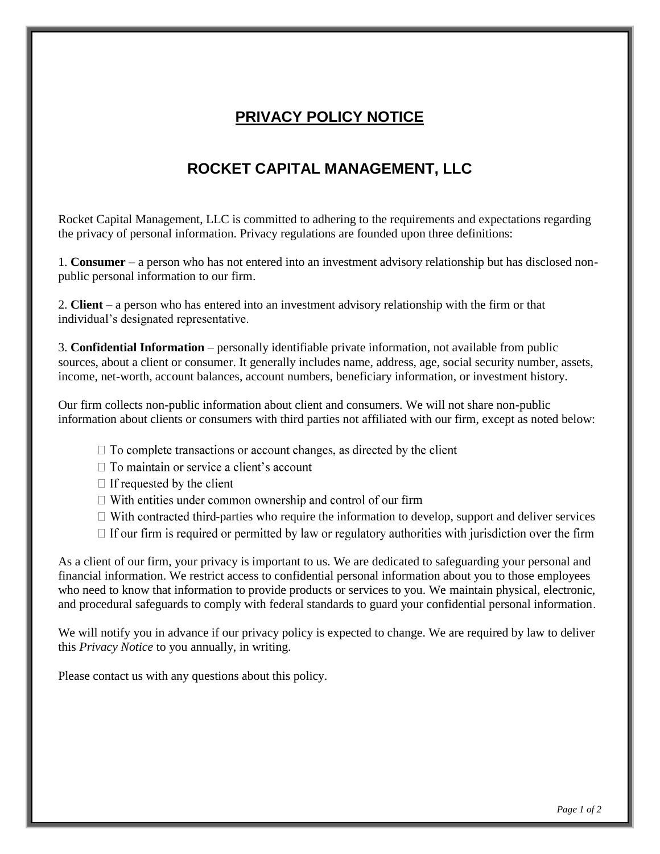## **PRIVACY POLICY NOTICE**

## **ROCKET CAPITAL MANAGEMENT, LLC**

Rocket Capital Management, LLC is committed to adhering to the requirements and expectations regarding the privacy of personal information. Privacy regulations are founded upon three definitions:

1. **Consumer** – a person who has not entered into an investment advisory relationship but has disclosed nonpublic personal information to our firm.

2. **Client** – a person who has entered into an investment advisory relationship with the firm or that individual's designated representative.

3. **Confidential Information** – personally identifiable private information, not available from public sources, about a client or consumer. It generally includes name, address, age, social security number, assets, income, net-worth, account balances, account numbers, beneficiary information, or investment history.

Our firm collects non-public information about client and consumers. We will not share non-public information about clients or consumers with third parties not affiliated with our firm, except as noted below:

- $\Box$  To complete transactions or account changes, as directed by the client
- $\Box$  To maintain or service a client's account
- $\Box$  If requested by the client
- $\Box$  With entities under common ownership and control of our firm
- $\Box$  With contracted third-parties who require the information to develop, support and deliver services
- $\Box$  If our firm is required or permitted by law or regulatory authorities with jurisdiction over the firm

As a client of our firm, your privacy is important to us. We are dedicated to safeguarding your personal and financial information. We restrict access to confidential personal information about you to those employees who need to know that information to provide products or services to you. We maintain physical, electronic, and procedural safeguards to comply with federal standards to guard your confidential personal information.

We will notify you in advance if our privacy policy is expected to change. We are required by law to deliver this *Privacy Notice* to you annually, in writing.

Please contact us with any questions about this policy.